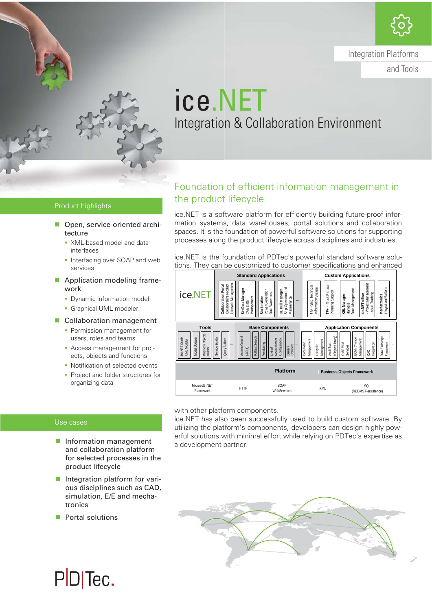

Integration Platforms

and Tools

## ice.NET Integration & Collaboration Environment

#### Product highlights

- Open, service-oriented architecture
	- **XML-based model and data** interfaces
	- **Interfacing over SOAP and web** services
- **Application modeling frame**work
	- **Dynamic information model**
	- **Graphical UML modeler**
- Collaboration management
	- **Permission management for** users, roles and teams
	- Access management for projects, objects and functions
	- Notification of selected events
	- **Project and folder structures for** organizing data

### Foundation of efficient information management in the product lifecycle

ice.NET is a software platform for efficiently building future-proof information systems, data warehouses, portal solutions and collaboration spaces. It is the foundation of powerful software solutions for supporting processes along the product lifecycle across disciplines and industries.

ice.NET is the foundation of PDTec's powerful standard software solutions. They can be customized to customer specifications and enhanced



with other platform components.

ice.NET has also been successfully used to build custom software. By utilizing the platform's components, developers can design highly powerful solutions with minimal effort while relying on PDTec's expertise as a development partner.

for selected processes in the product lifecycle **Integration platform for vari**ous disciplines such as CAD, simulation, E/E and mecha-

**Information management** and collaboration platform

tronics **Portal solutions** 

Use cases